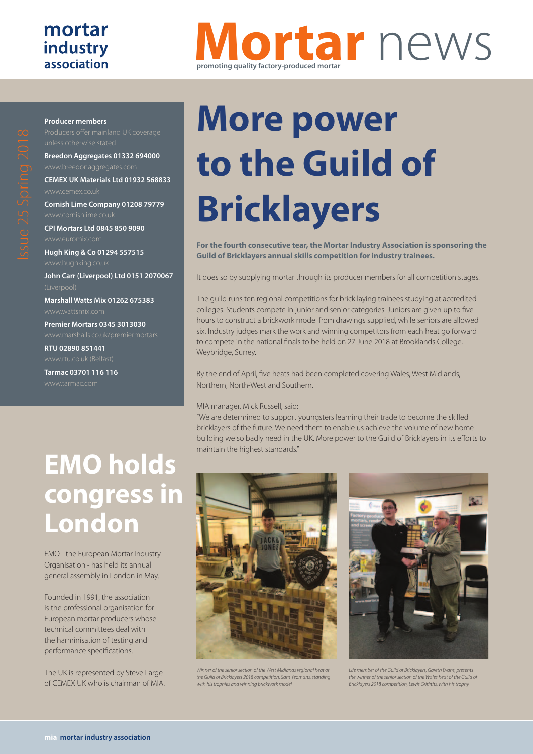## mortar industry association

## **Mortar** news **promoting quality factory-produced mortar**

#### **Producer members**

**Breedon Aggregates 01332 694000**

**CEMEX UK Materials Ltd 01932 568833**

**Cornish Lime Company 01208 79779**

**CPI Mortars Ltd 0845 850 9090**

**Hugh King & Co 01294 557515**

**John Carr (Liverpool) Ltd 0151 2070067**

**Marshall Watts Mix 01262 675383** www.wattsmix.com

**Premier Mortars 0345 3013030**

**RTU 02890 851441**

**Tarmac 03701 116 116**

# **EMO holds congress in London**

EMO - the European Mortar Industry Organisation - has held its annual general assembly in London in May.

Founded in 1991, the association is the professional organisation for European mortar producers whose technical committees deal with the harminisation of testing and performance specifications.

The UK is represented by Steve Large of CEMEX UK who is chairman of MIA.

# **More power to the Guild of Bricklayers**

**For the fourth consecutive tear, the Mortar Industry Association is sponsoring the Guild of Bricklayers annual skills competition for industry trainees.**

It does so by supplying mortar through its producer members for all competition stages.

The guild runs ten regional competitions for brick laying trainees studying at accredited colleges. Students compete in junior and senior categories. Juniors are given up to five hours to construct a brickwork model from drawings supplied, while seniors are allowed six. Industry judges mark the work and winning competitors from each heat go forward to compete in the national finals to be held on 27 June 2018 at Brooklands College, Weybridge, Surrey.

By the end of April, five heats had been completed covering Wales, West Midlands, Northern, North-West and Southern.

#### MIA manager, Mick Russell, said:

"We are determined to support youngsters learning their trade to become the skilled bricklayers of the future. We need them to enable us achieve the volume of new home building we so badly need in the UK. More power to the Guild of Bricklayers in its efforts to maintain the highest standards."



*Winner of the senior section of the West Midlands regional heat of the Guild of Bricklayers 2018 competition, Sam Yeomans, standing with his trophies and winning brickwork model*



Life member of the Guild of Bricklayers, Gareth Evans, presents *the winner of the senior section of the Wales heat of the Guild of Bricklayers 2018 competition, Lewis Griffiths, with his trophy*